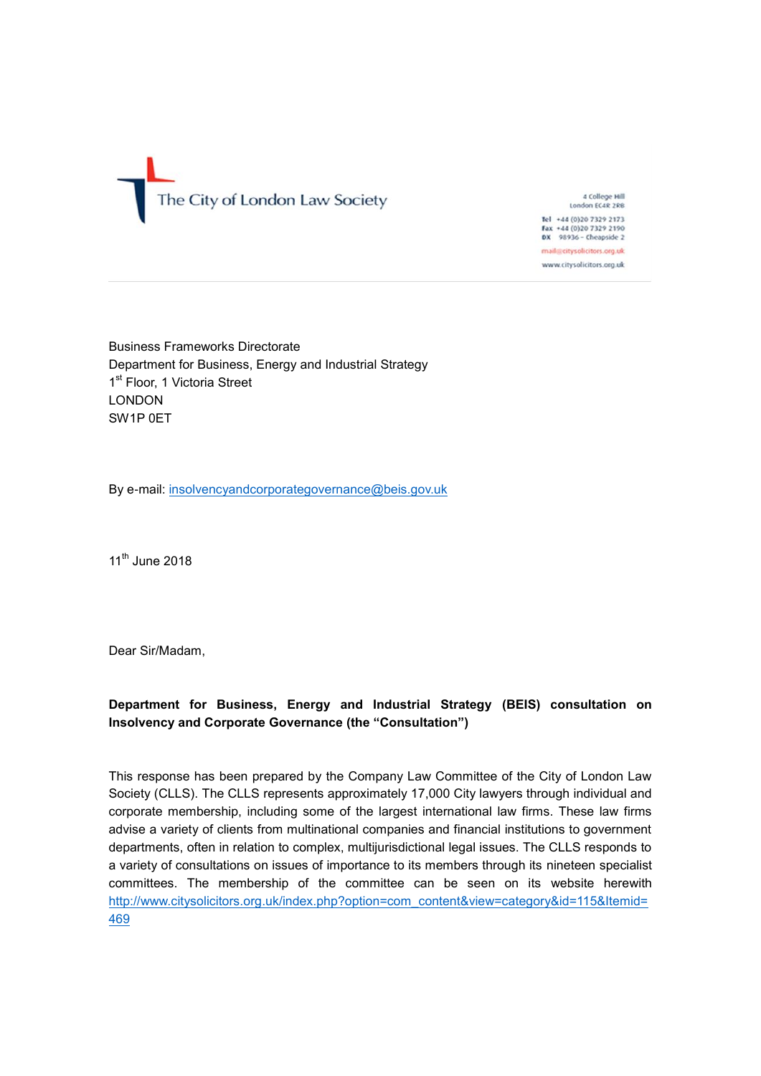

4 College Hill<br>London EC4R 2RB Tel +44 (0)20 7329 2173 Fax +44 (0)20 7329 2190<br>DX 98936 - Cheapside 2 mail@citysolicitors.org.uk www.citysolicitors.org.uk

Business Frameworks Directorate Department for Business, Energy and Industrial Strategy 1<sup>st</sup> Floor, 1 Victoria Street LONDON SW1P 0ET

By e-mail: [insolvencyandcorporategovernance@beis.gov.uk](mailto:insolvencyandcorporategovernance@beis.gov.uk)

 $11<sup>th</sup>$  June 2018

Dear Sir/Madam,

#### **Department for Business, Energy and Industrial Strategy (BEIS) consultation on Insolvency and Corporate Governance (the "Consultation")**

This response has been prepared by the Company Law Committee of the City of London Law Society (CLLS). The CLLS represents approximately 17,000 City lawyers through individual and corporate membership, including some of the largest international law firms. These law firms advise a variety of clients from multinational companies and financial institutions to government departments, often in relation to complex, multijurisdictional legal issues. The CLLS responds to a variety of consultations on issues of importance to its members through its nineteen specialist committees. The membership of the committee can be seen on its website herewith [http://www.citysolicitors.org.uk/index.php?option=com\\_content&view=category&id=115&Itemid=](http://www.citysolicitors.org.uk/index.php?option=com_content&view=category&id=115&Itemid=469) [469](http://www.citysolicitors.org.uk/index.php?option=com_content&view=category&id=115&Itemid=469)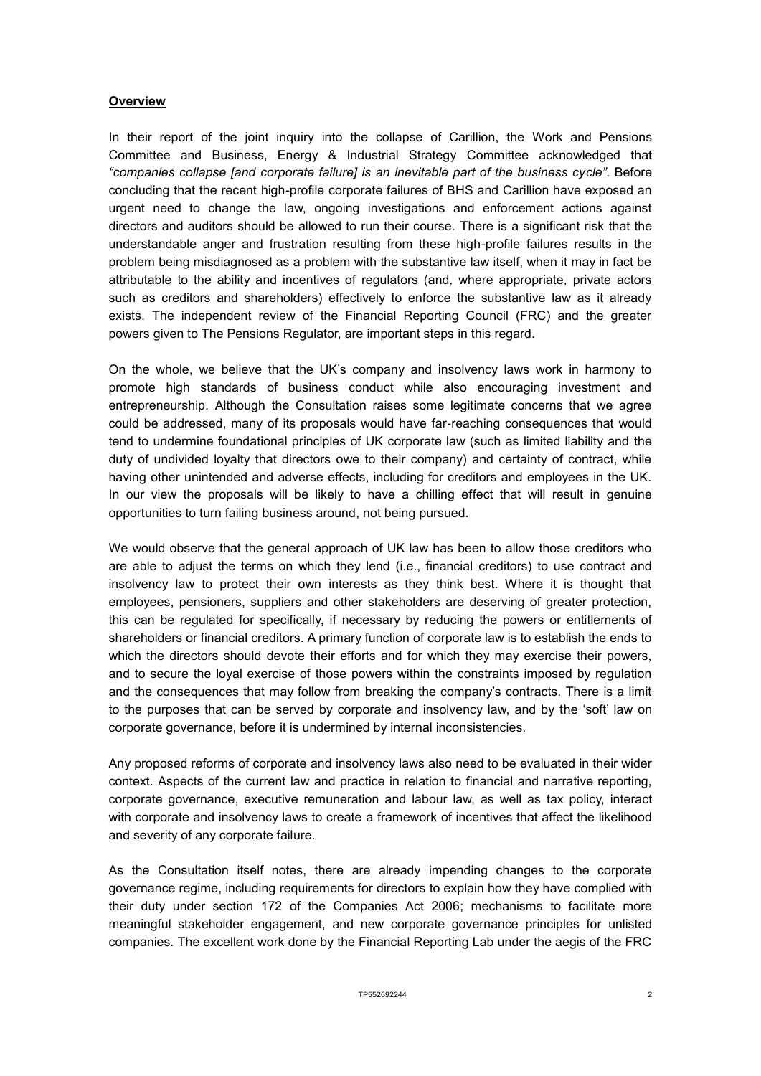#### **Overview**

In their report of the joint inquiry into the collapse of Carillion, the Work and Pensions Committee and Business, Energy & Industrial Strategy Committee acknowledged that *"companies collapse [and corporate failure] is an inevitable part of the business cycle"*. Before concluding that the recent high-profile corporate failures of BHS and Carillion have exposed an urgent need to change the law, ongoing investigations and enforcement actions against directors and auditors should be allowed to run their course. There is a significant risk that the understandable anger and frustration resulting from these high-profile failures results in the problem being misdiagnosed as a problem with the substantive law itself, when it may in fact be attributable to the ability and incentives of regulators (and, where appropriate, private actors such as creditors and shareholders) effectively to enforce the substantive law as it already exists. The independent review of the Financial Reporting Council (FRC) and the greater powers given to The Pensions Regulator, are important steps in this regard.

On the whole, we believe that the UK's company and insolvency laws work in harmony to promote high standards of business conduct while also encouraging investment and entrepreneurship. Although the Consultation raises some legitimate concerns that we agree could be addressed, many of its proposals would have far-reaching consequences that would tend to undermine foundational principles of UK corporate law (such as limited liability and the duty of undivided loyalty that directors owe to their company) and certainty of contract, while having other unintended and adverse effects, including for creditors and employees in the UK. In our view the proposals will be likely to have a chilling effect that will result in genuine opportunities to turn failing business around, not being pursued.

We would observe that the general approach of UK law has been to allow those creditors who are able to adjust the terms on which they lend (i.e., financial creditors) to use contract and insolvency law to protect their own interests as they think best. Where it is thought that employees, pensioners, suppliers and other stakeholders are deserving of greater protection, this can be regulated for specifically, if necessary by reducing the powers or entitlements of shareholders or financial creditors. A primary function of corporate law is to establish the ends to which the directors should devote their efforts and for which they may exercise their powers, and to secure the loyal exercise of those powers within the constraints imposed by regulation and the consequences that may follow from breaking the company's contracts. There is a limit to the purposes that can be served by corporate and insolvency law, and by the 'soft' law on corporate governance, before it is undermined by internal inconsistencies.

Any proposed reforms of corporate and insolvency laws also need to be evaluated in their wider context. Aspects of the current law and practice in relation to financial and narrative reporting, corporate governance, executive remuneration and labour law, as well as tax policy, interact with corporate and insolvency laws to create a framework of incentives that affect the likelihood and severity of any corporate failure.

As the Consultation itself notes, there are already impending changes to the corporate governance regime, including requirements for directors to explain how they have complied with their duty under section 172 of the Companies Act 2006; mechanisms to facilitate more meaningful stakeholder engagement, and new corporate governance principles for unlisted companies. The excellent work done by the Financial Reporting Lab under the aegis of the FRC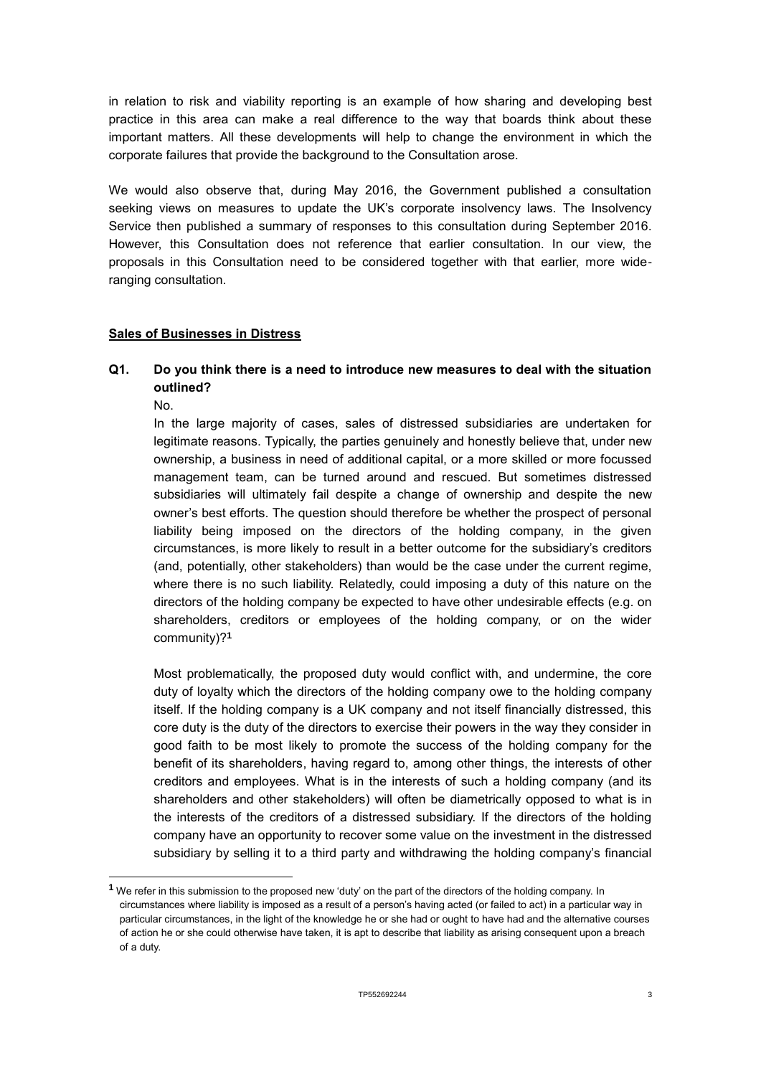in relation to risk and viability reporting is an example of how sharing and developing best practice in this area can make a real difference to the way that boards think about these important matters. All these developments will help to change the environment in which the corporate failures that provide the background to the Consultation arose.

We would also observe that, during May 2016, the Government published a consultation seeking views on measures to update the UK's corporate insolvency laws. The Insolvency Service then published a summary of responses to this consultation during September 2016. However, this Consultation does not reference that earlier consultation. In our view, the proposals in this Consultation need to be considered together with that earlier, more wideranging consultation.

#### **Sales of Businesses in Distress**

# **Q1. Do you think there is a need to introduce new measures to deal with the situation outlined?**

No.

1

In the large majority of cases, sales of distressed subsidiaries are undertaken for legitimate reasons. Typically, the parties genuinely and honestly believe that, under new ownership, a business in need of additional capital, or a more skilled or more focussed management team, can be turned around and rescued. But sometimes distressed subsidiaries will ultimately fail despite a change of ownership and despite the new owner's best efforts. The question should therefore be whether the prospect of personal liability being imposed on the directors of the holding company, in the given circumstances, is more likely to result in a better outcome for the subsidiary's creditors (and, potentially, other stakeholders) than would be the case under the current regime, where there is no such liability. Relatedly, could imposing a duty of this nature on the directors of the holding company be expected to have other undesirable effects (e.g. on shareholders, creditors or employees of the holding company, or on the wider community)?**<sup>1</sup>**

Most problematically, the proposed duty would conflict with, and undermine, the core duty of loyalty which the directors of the holding company owe to the holding company itself. If the holding company is a UK company and not itself financially distressed, this core duty is the duty of the directors to exercise their powers in the way they consider in good faith to be most likely to promote the success of the holding company for the benefit of its shareholders, having regard to, among other things, the interests of other creditors and employees. What is in the interests of such a holding company (and its shareholders and other stakeholders) will often be diametrically opposed to what is in the interests of the creditors of a distressed subsidiary. If the directors of the holding company have an opportunity to recover some value on the investment in the distressed subsidiary by selling it to a third party and withdrawing the holding company's financial

**<sup>1</sup>** We refer in this submission to the proposed new 'duty' on the part of the directors of the holding company. In circumstances where liability is imposed as a result of a person's having acted (or failed to act) in a particular way in particular circumstances, in the light of the knowledge he or she had or ought to have had and the alternative courses of action he or she could otherwise have taken, it is apt to describe that liability as arising consequent upon a breach of a duty.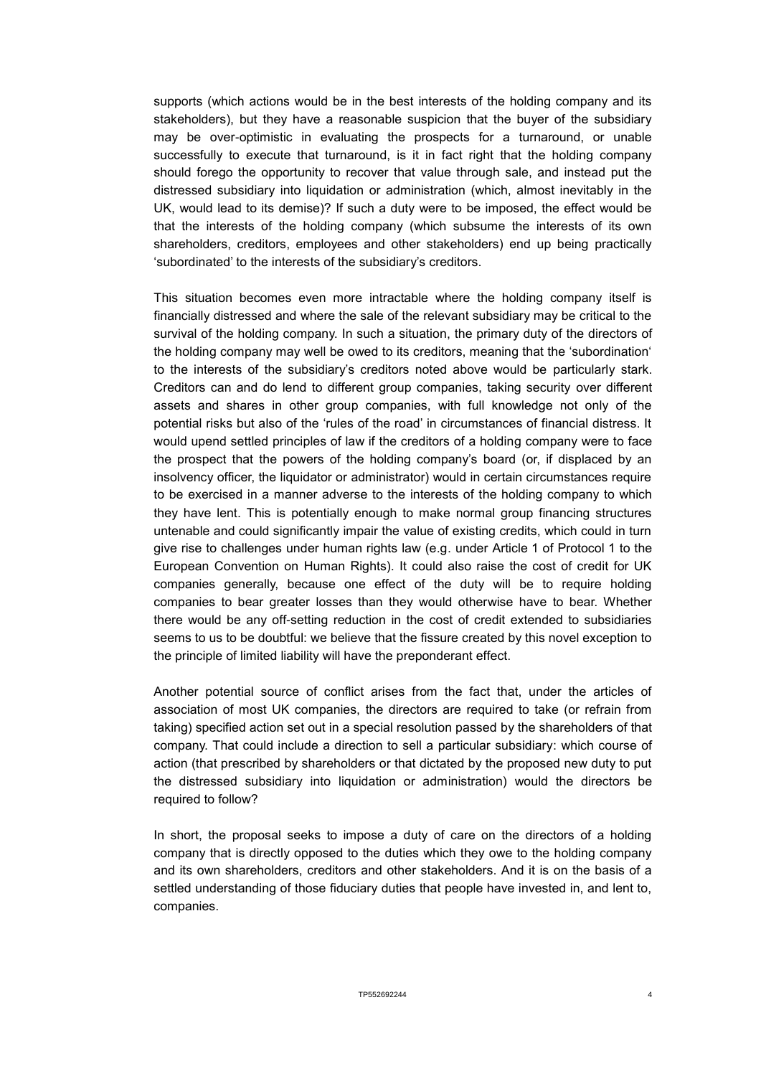supports (which actions would be in the best interests of the holding company and its stakeholders), but they have a reasonable suspicion that the buyer of the subsidiary may be over-optimistic in evaluating the prospects for a turnaround, or unable successfully to execute that turnaround, is it in fact right that the holding company should forego the opportunity to recover that value through sale, and instead put the distressed subsidiary into liquidation or administration (which, almost inevitably in the UK, would lead to its demise)? If such a duty were to be imposed, the effect would be that the interests of the holding company (which subsume the interests of its own shareholders, creditors, employees and other stakeholders) end up being practically 'subordinated' to the interests of the subsidiary's creditors.

This situation becomes even more intractable where the holding company itself is financially distressed and where the sale of the relevant subsidiary may be critical to the survival of the holding company. In such a situation, the primary duty of the directors of the holding company may well be owed to its creditors, meaning that the 'subordination' to the interests of the subsidiary's creditors noted above would be particularly stark. Creditors can and do lend to different group companies, taking security over different assets and shares in other group companies, with full knowledge not only of the potential risks but also of the 'rules of the road' in circumstances of financial distress. It would upend settled principles of law if the creditors of a holding company were to face the prospect that the powers of the holding company's board (or, if displaced by an insolvency officer, the liquidator or administrator) would in certain circumstances require to be exercised in a manner adverse to the interests of the holding company to which they have lent. This is potentially enough to make normal group financing structures untenable and could significantly impair the value of existing credits, which could in turn give rise to challenges under human rights law (e.g. under Article 1 of Protocol 1 to the European Convention on Human Rights). It could also raise the cost of credit for UK companies generally, because one effect of the duty will be to require holding companies to bear greater losses than they would otherwise have to bear. Whether there would be any off-setting reduction in the cost of credit extended to subsidiaries seems to us to be doubtful: we believe that the fissure created by this novel exception to the principle of limited liability will have the preponderant effect.

Another potential source of conflict arises from the fact that, under the articles of association of most UK companies, the directors are required to take (or refrain from taking) specified action set out in a special resolution passed by the shareholders of that company. That could include a direction to sell a particular subsidiary: which course of action (that prescribed by shareholders or that dictated by the proposed new duty to put the distressed subsidiary into liquidation or administration) would the directors be required to follow?

In short, the proposal seeks to impose a duty of care on the directors of a holding company that is directly opposed to the duties which they owe to the holding company and its own shareholders, creditors and other stakeholders. And it is on the basis of a settled understanding of those fiduciary duties that people have invested in, and lent to, companies.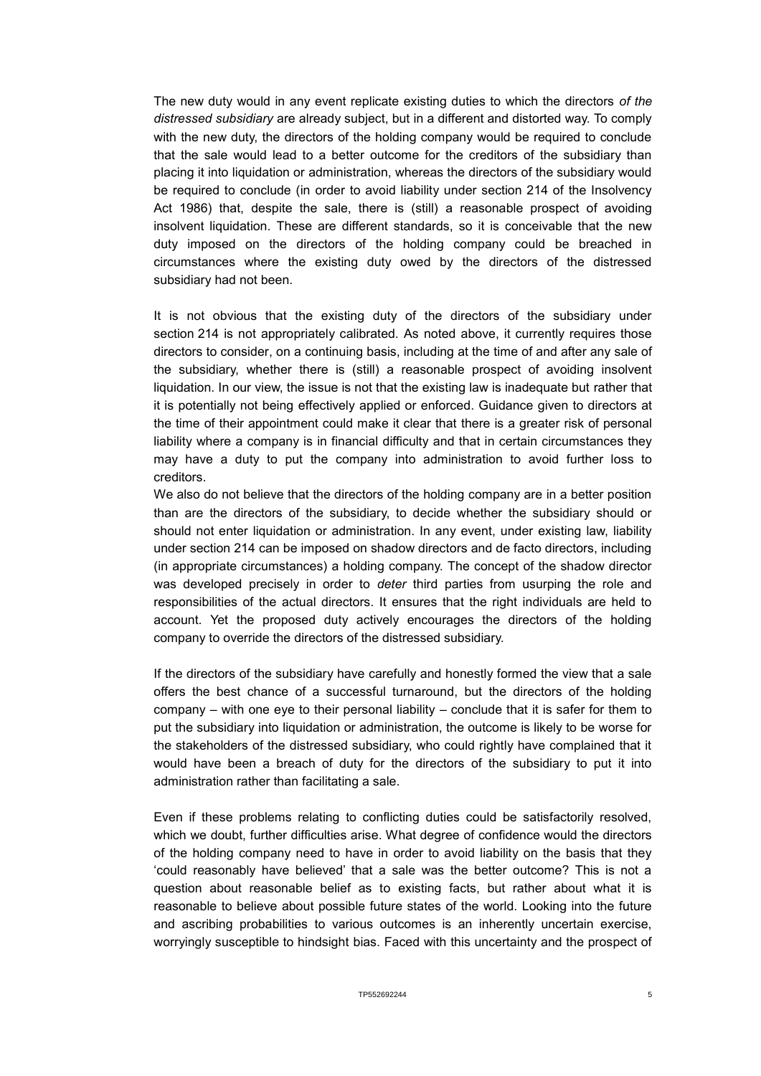The new duty would in any event replicate existing duties to which the directors *of the distressed subsidiary* are already subject, but in a different and distorted way. To comply with the new duty, the directors of the holding company would be required to conclude that the sale would lead to a better outcome for the creditors of the subsidiary than placing it into liquidation or administration, whereas the directors of the subsidiary would be required to conclude (in order to avoid liability under section 214 of the Insolvency Act 1986) that, despite the sale, there is (still) a reasonable prospect of avoiding insolvent liquidation. These are different standards, so it is conceivable that the new duty imposed on the directors of the holding company could be breached in circumstances where the existing duty owed by the directors of the distressed subsidiary had not been.

It is not obvious that the existing duty of the directors of the subsidiary under section 214 is not appropriately calibrated. As noted above, it currently requires those directors to consider, on a continuing basis, including at the time of and after any sale of the subsidiary, whether there is (still) a reasonable prospect of avoiding insolvent liquidation. In our view, the issue is not that the existing law is inadequate but rather that it is potentially not being effectively applied or enforced. Guidance given to directors at the time of their appointment could make it clear that there is a greater risk of personal liability where a company is in financial difficulty and that in certain circumstances they may have a duty to put the company into administration to avoid further loss to creditors.

We also do not believe that the directors of the holding company are in a better position than are the directors of the subsidiary, to decide whether the subsidiary should or should not enter liquidation or administration. In any event, under existing law, liability under section 214 can be imposed on shadow directors and de facto directors, including (in appropriate circumstances) a holding company. The concept of the shadow director was developed precisely in order to *deter* third parties from usurping the role and responsibilities of the actual directors. It ensures that the right individuals are held to account. Yet the proposed duty actively encourages the directors of the holding company to override the directors of the distressed subsidiary.

If the directors of the subsidiary have carefully and honestly formed the view that a sale offers the best chance of a successful turnaround, but the directors of the holding company – with one eye to their personal liability – conclude that it is safer for them to put the subsidiary into liquidation or administration, the outcome is likely to be worse for the stakeholders of the distressed subsidiary, who could rightly have complained that it would have been a breach of duty for the directors of the subsidiary to put it into administration rather than facilitating a sale.

Even if these problems relating to conflicting duties could be satisfactorily resolved, which we doubt, further difficulties arise. What degree of confidence would the directors of the holding company need to have in order to avoid liability on the basis that they 'could reasonably have believed' that a sale was the better outcome? This is not a question about reasonable belief as to existing facts, but rather about what it is reasonable to believe about possible future states of the world. Looking into the future and ascribing probabilities to various outcomes is an inherently uncertain exercise, worryingly susceptible to hindsight bias. Faced with this uncertainty and the prospect of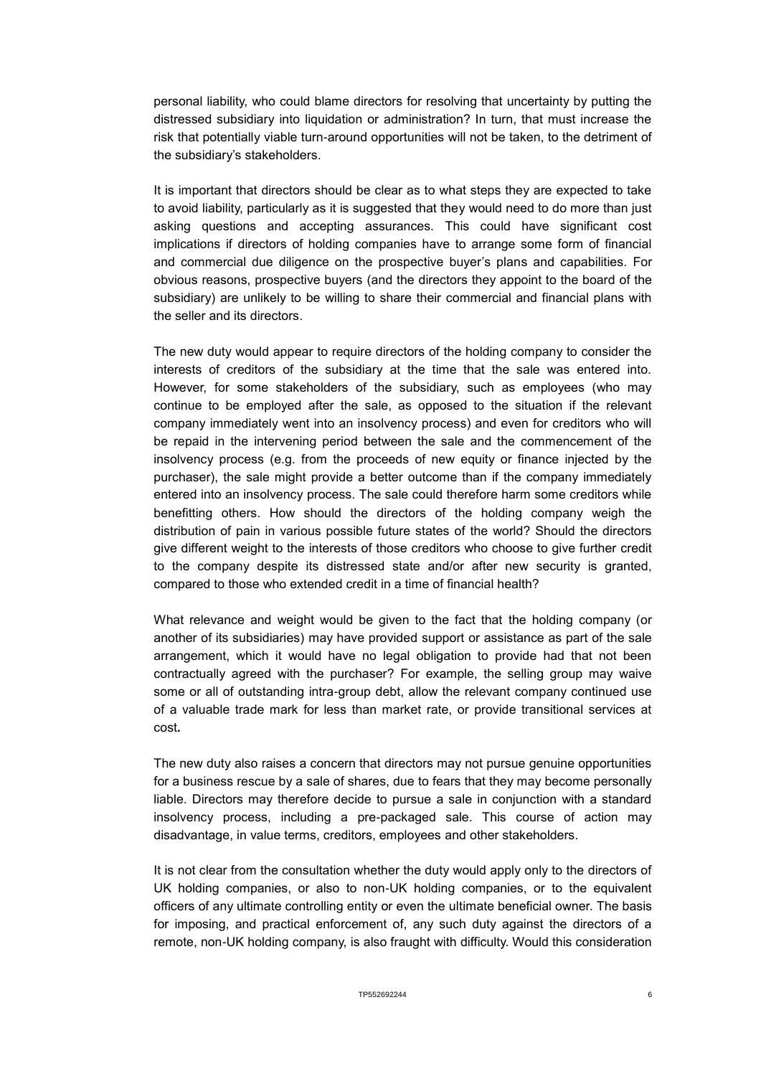personal liability, who could blame directors for resolving that uncertainty by putting the distressed subsidiary into liquidation or administration? In turn, that must increase the risk that potentially viable turn-around opportunities will not be taken, to the detriment of the subsidiary's stakeholders.

It is important that directors should be clear as to what steps they are expected to take to avoid liability, particularly as it is suggested that they would need to do more than just asking questions and accepting assurances. This could have significant cost implications if directors of holding companies have to arrange some form of financial and commercial due diligence on the prospective buyer's plans and capabilities. For obvious reasons, prospective buyers (and the directors they appoint to the board of the subsidiary) are unlikely to be willing to share their commercial and financial plans with the seller and its directors.

The new duty would appear to require directors of the holding company to consider the interests of creditors of the subsidiary at the time that the sale was entered into. However, for some stakeholders of the subsidiary, such as employees (who may continue to be employed after the sale, as opposed to the situation if the relevant company immediately went into an insolvency process) and even for creditors who will be repaid in the intervening period between the sale and the commencement of the insolvency process (e.g. from the proceeds of new equity or finance injected by the purchaser), the sale might provide a better outcome than if the company immediately entered into an insolvency process. The sale could therefore harm some creditors while benefitting others. How should the directors of the holding company weigh the distribution of pain in various possible future states of the world? Should the directors give different weight to the interests of those creditors who choose to give further credit to the company despite its distressed state and/or after new security is granted, compared to those who extended credit in a time of financial health?

What relevance and weight would be given to the fact that the holding company (or another of its subsidiaries) may have provided support or assistance as part of the sale arrangement, which it would have no legal obligation to provide had that not been contractually agreed with the purchaser? For example, the selling group may waive some or all of outstanding intra-group debt, allow the relevant company continued use of a valuable trade mark for less than market rate, or provide transitional services at cost*.*

The new duty also raises a concern that directors may not pursue genuine opportunities for a business rescue by a sale of shares, due to fears that they may become personally liable. Directors may therefore decide to pursue a sale in conjunction with a standard insolvency process, including a pre-packaged sale. This course of action may disadvantage, in value terms, creditors, employees and other stakeholders.

It is not clear from the consultation whether the duty would apply only to the directors of UK holding companies, or also to non-UK holding companies, or to the equivalent officers of any ultimate controlling entity or even the ultimate beneficial owner. The basis for imposing, and practical enforcement of, any such duty against the directors of a remote, non-UK holding company, is also fraught with difficulty. Would this consideration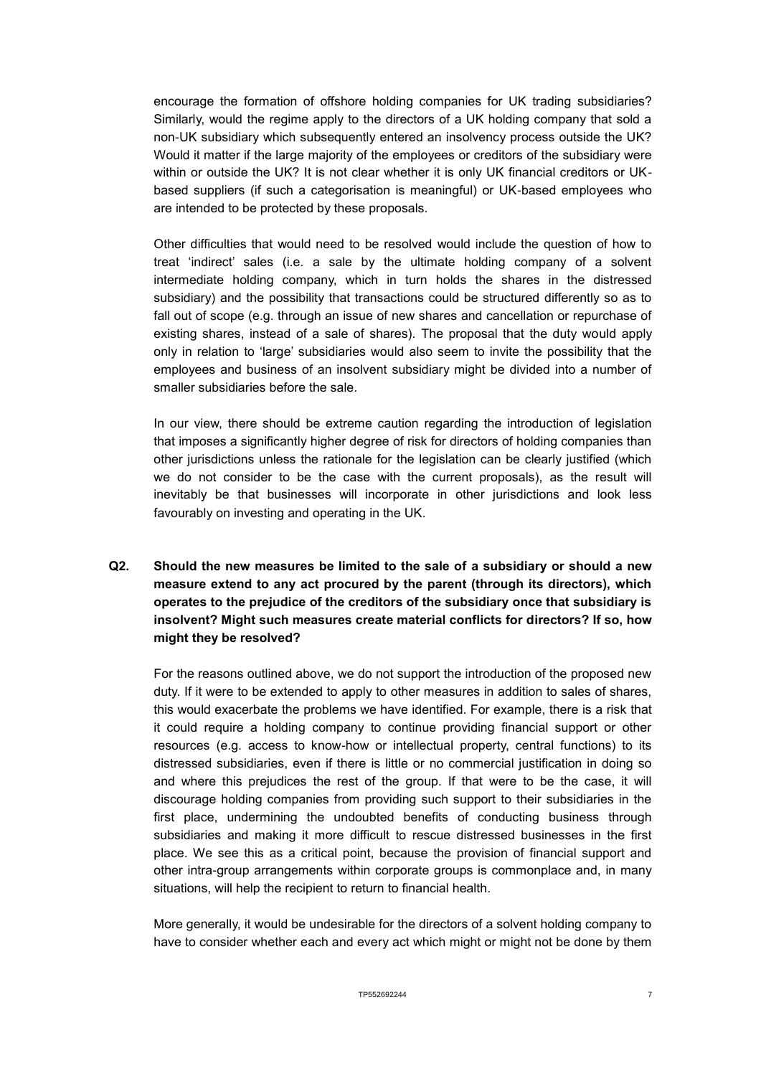encourage the formation of offshore holding companies for UK trading subsidiaries? Similarly, would the regime apply to the directors of a UK holding company that sold a non-UK subsidiary which subsequently entered an insolvency process outside the UK? Would it matter if the large majority of the employees or creditors of the subsidiary were within or outside the UK? It is not clear whether it is only UK financial creditors or UKbased suppliers (if such a categorisation is meaningful) or UK-based employees who are intended to be protected by these proposals.

Other difficulties that would need to be resolved would include the question of how to treat 'indirect' sales (i.e. a sale by the ultimate holding company of a solvent intermediate holding company, which in turn holds the shares in the distressed subsidiary) and the possibility that transactions could be structured differently so as to fall out of scope (e.g. through an issue of new shares and cancellation or repurchase of existing shares, instead of a sale of shares). The proposal that the duty would apply only in relation to 'large' subsidiaries would also seem to invite the possibility that the employees and business of an insolvent subsidiary might be divided into a number of smaller subsidiaries before the sale.

In our view, there should be extreme caution regarding the introduction of legislation that imposes a significantly higher degree of risk for directors of holding companies than other jurisdictions unless the rationale for the legislation can be clearly justified (which we do not consider to be the case with the current proposals), as the result will inevitably be that businesses will incorporate in other jurisdictions and look less favourably on investing and operating in the UK.

## **Q2. Should the new measures be limited to the sale of a subsidiary or should a new measure extend to any act procured by the parent (through its directors), which operates to the prejudice of the creditors of the subsidiary once that subsidiary is insolvent? Might such measures create material conflicts for directors? If so, how might they be resolved?**

For the reasons outlined above, we do not support the introduction of the proposed new duty. If it were to be extended to apply to other measures in addition to sales of shares, this would exacerbate the problems we have identified. For example, there is a risk that it could require a holding company to continue providing financial support or other resources (e.g. access to know-how or intellectual property, central functions) to its distressed subsidiaries, even if there is little or no commercial justification in doing so and where this prejudices the rest of the group. If that were to be the case, it will discourage holding companies from providing such support to their subsidiaries in the first place, undermining the undoubted benefits of conducting business through subsidiaries and making it more difficult to rescue distressed businesses in the first place. We see this as a critical point, because the provision of financial support and other intra-group arrangements within corporate groups is commonplace and, in many situations, will help the recipient to return to financial health.

More generally, it would be undesirable for the directors of a solvent holding company to have to consider whether each and every act which might or might not be done by them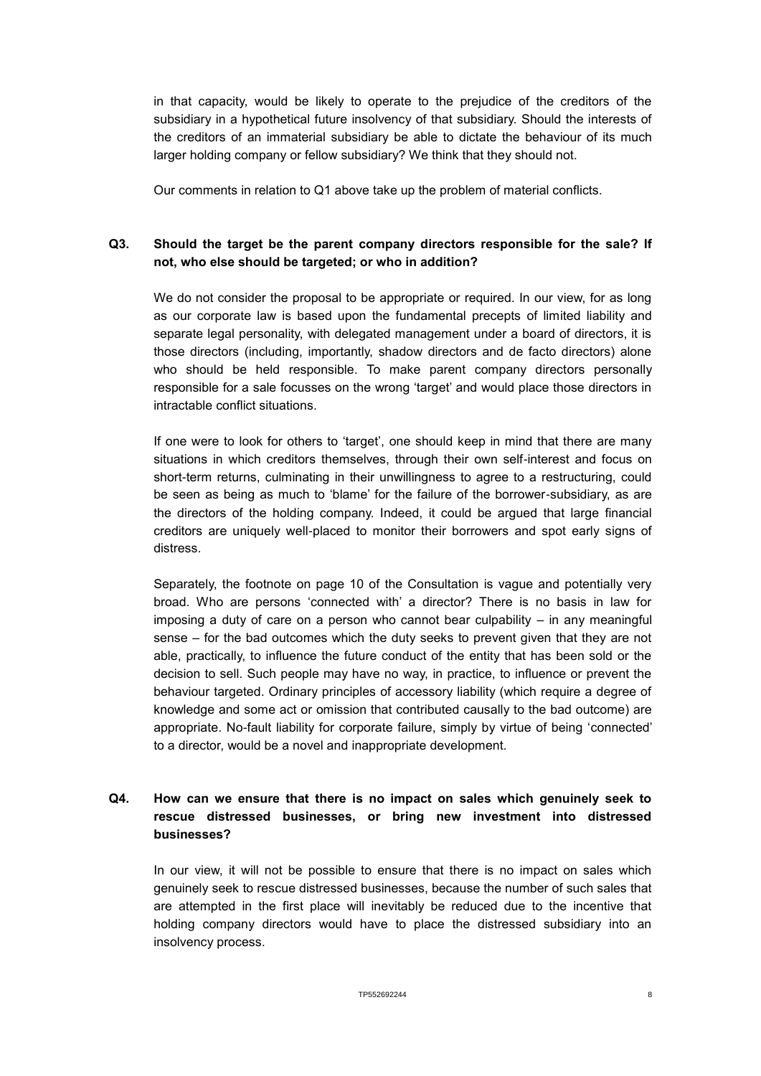in that capacity, would be likely to operate to the prejudice of the creditors of the subsidiary in a hypothetical future insolvency of that subsidiary. Should the interests of the creditors of an immaterial subsidiary be able to dictate the behaviour of its much larger holding company or fellow subsidiary? We think that they should not.

Our comments in relation to Q1 above take up the problem of material conflicts.

## **Q3. Should the target be the parent company directors responsible for the sale? If not, who else should be targeted; or who in addition?**

We do not consider the proposal to be appropriate or required. In our view, for as long as our corporate law is based upon the fundamental precepts of limited liability and separate legal personality, with delegated management under a board of directors, it is those directors (including, importantly, shadow directors and de facto directors) alone who should be held responsible. To make parent company directors personally responsible for a sale focusses on the wrong 'target' and would place those directors in intractable conflict situations.

If one were to look for others to 'target', one should keep in mind that there are many situations in which creditors themselves, through their own self-interest and focus on short-term returns, culminating in their unwillingness to agree to a restructuring, could be seen as being as much to 'blame' for the failure of the borrower-subsidiary, as are the directors of the holding company. Indeed, it could be argued that large financial creditors are uniquely well-placed to monitor their borrowers and spot early signs of distress.

Separately, the footnote on page 10 of the Consultation is vague and potentially very broad. Who are persons 'connected with' a director? There is no basis in law for imposing a duty of care on a person who cannot bear culpability – in any meaningful sense – for the bad outcomes which the duty seeks to prevent given that they are not able, practically, to influence the future conduct of the entity that has been sold or the decision to sell. Such people may have no way, in practice, to influence or prevent the behaviour targeted. Ordinary principles of accessory liability (which require a degree of knowledge and some act or omission that contributed causally to the bad outcome) are appropriate. No-fault liability for corporate failure, simply by virtue of being 'connected' to a director, would be a novel and inappropriate development.

## **Q4. How can we ensure that there is no impact on sales which genuinely seek to rescue distressed businesses, or bring new investment into distressed businesses?**

In our view, it will not be possible to ensure that there is no impact on sales which genuinely seek to rescue distressed businesses, because the number of such sales that are attempted in the first place will inevitably be reduced due to the incentive that holding company directors would have to place the distressed subsidiary into an insolvency process.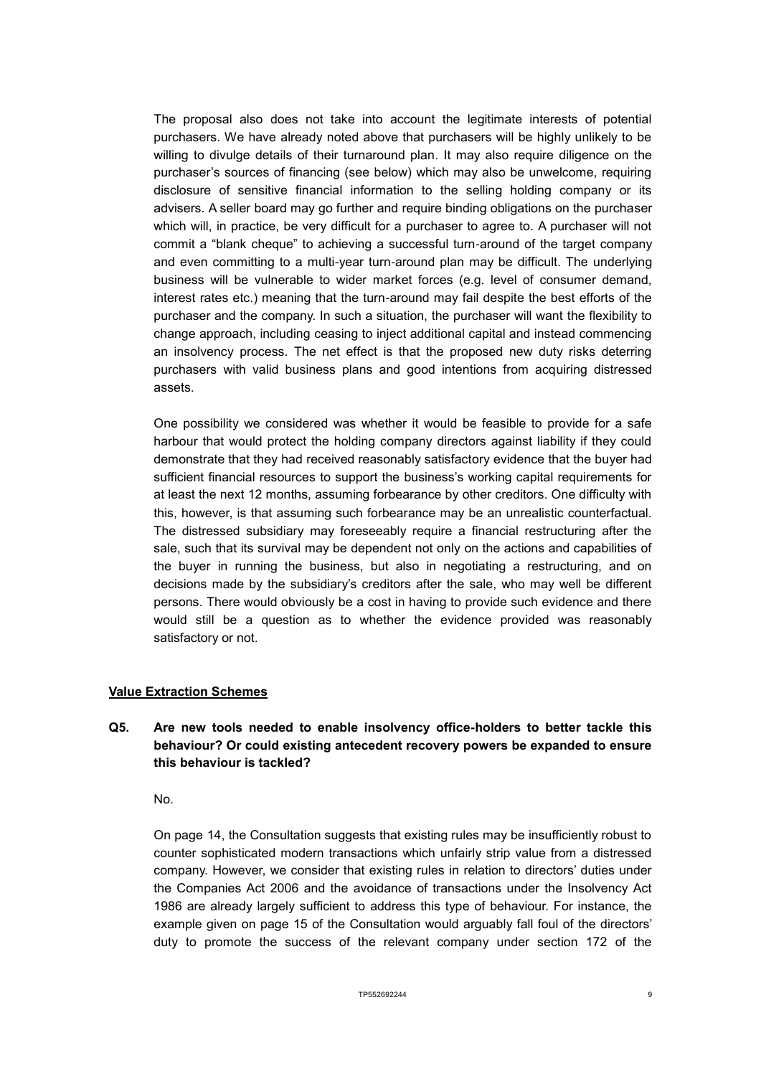The proposal also does not take into account the legitimate interests of potential purchasers. We have already noted above that purchasers will be highly unlikely to be willing to divulge details of their turnaround plan. It may also require diligence on the purchaser's sources of financing (see below) which may also be unwelcome, requiring disclosure of sensitive financial information to the selling holding company or its advisers. A seller board may go further and require binding obligations on the purchaser which will, in practice, be very difficult for a purchaser to agree to. A purchaser will not commit a "blank cheque" to achieving a successful turn-around of the target company and even committing to a multi-year turn-around plan may be difficult. The underlying business will be vulnerable to wider market forces (e.g. level of consumer demand, interest rates etc.) meaning that the turn-around may fail despite the best efforts of the purchaser and the company. In such a situation, the purchaser will want the flexibility to change approach, including ceasing to inject additional capital and instead commencing an insolvency process. The net effect is that the proposed new duty risks deterring purchasers with valid business plans and good intentions from acquiring distressed assets.

One possibility we considered was whether it would be feasible to provide for a safe harbour that would protect the holding company directors against liability if they could demonstrate that they had received reasonably satisfactory evidence that the buyer had sufficient financial resources to support the business's working capital requirements for at least the next 12 months, assuming forbearance by other creditors. One difficulty with this, however, is that assuming such forbearance may be an unrealistic counterfactual. The distressed subsidiary may foreseeably require a financial restructuring after the sale, such that its survival may be dependent not only on the actions and capabilities of the buyer in running the business, but also in negotiating a restructuring, and on decisions made by the subsidiary's creditors after the sale, who may well be different persons. There would obviously be a cost in having to provide such evidence and there would still be a question as to whether the evidence provided was reasonably satisfactory or not.

#### **Value Extraction Schemes**

#### **Q5. Are new tools needed to enable insolvency office-holders to better tackle this behaviour? Or could existing antecedent recovery powers be expanded to ensure this behaviour is tackled?**

No.

On page 14, the Consultation suggests that existing rules may be insufficiently robust to counter sophisticated modern transactions which unfairly strip value from a distressed company. However, we consider that existing rules in relation to directors' duties under the Companies Act 2006 and the avoidance of transactions under the Insolvency Act 1986 are already largely sufficient to address this type of behaviour. For instance, the example given on page 15 of the Consultation would arguably fall foul of the directors' duty to promote the success of the relevant company under section 172 of the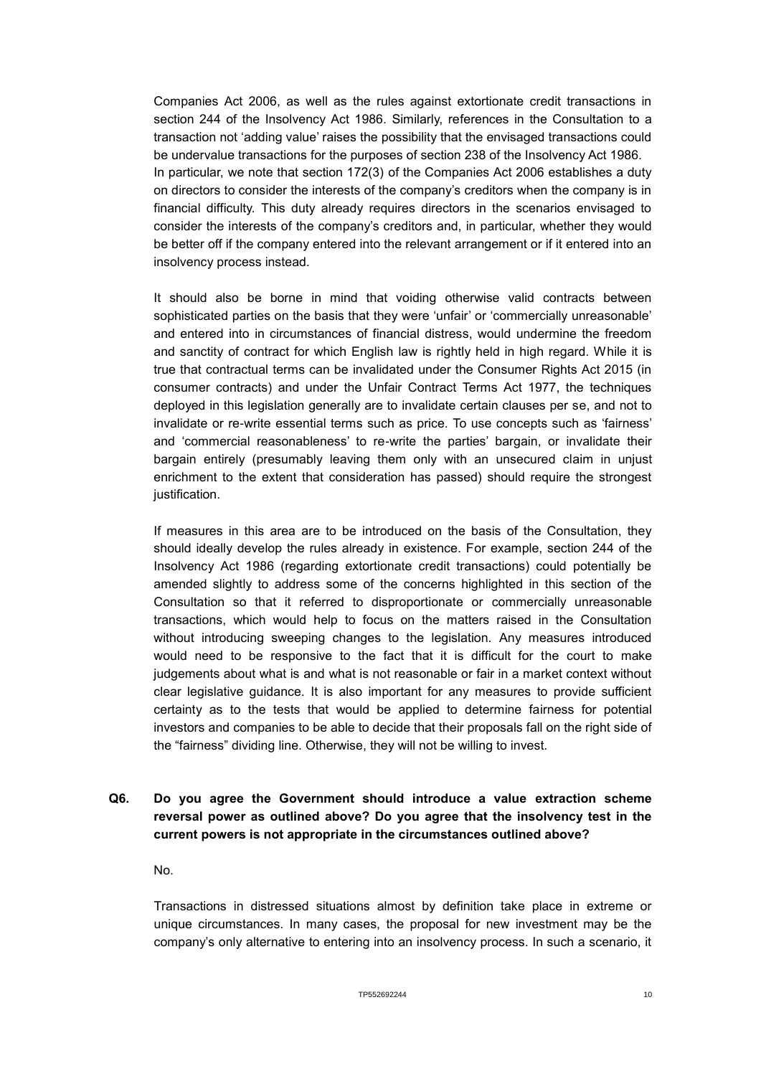Companies Act 2006, as well as the rules against extortionate credit transactions in section 244 of the Insolvency Act 1986. Similarly, references in the Consultation to a transaction not 'adding value' raises the possibility that the envisaged transactions could be undervalue transactions for the purposes of section 238 of the Insolvency Act 1986. In particular, we note that section 172(3) of the Companies Act 2006 establishes a duty on directors to consider the interests of the company's creditors when the company is in financial difficulty. This duty already requires directors in the scenarios envisaged to consider the interests of the company's creditors and, in particular, whether they would be better off if the company entered into the relevant arrangement or if it entered into an insolvency process instead.

It should also be borne in mind that voiding otherwise valid contracts between sophisticated parties on the basis that they were 'unfair' or 'commercially unreasonable' and entered into in circumstances of financial distress, would undermine the freedom and sanctity of contract for which English law is rightly held in high regard. While it is true that contractual terms can be invalidated under the Consumer Rights Act 2015 (in consumer contracts) and under the Unfair Contract Terms Act 1977, the techniques deployed in this legislation generally are to invalidate certain clauses per se, and not to invalidate or re-write essential terms such as price. To use concepts such as 'fairness' and 'commercial reasonableness' to re-write the parties' bargain, or invalidate their bargain entirely (presumably leaving them only with an unsecured claim in unjust enrichment to the extent that consideration has passed) should require the strongest justification.

If measures in this area are to be introduced on the basis of the Consultation, they should ideally develop the rules already in existence. For example, section 244 of the Insolvency Act 1986 (regarding extortionate credit transactions) could potentially be amended slightly to address some of the concerns highlighted in this section of the Consultation so that it referred to disproportionate or commercially unreasonable transactions, which would help to focus on the matters raised in the Consultation without introducing sweeping changes to the legislation. Any measures introduced would need to be responsive to the fact that it is difficult for the court to make judgements about what is and what is not reasonable or fair in a market context without clear legislative guidance. It is also important for any measures to provide sufficient certainty as to the tests that would be applied to determine fairness for potential investors and companies to be able to decide that their proposals fall on the right side of the "fairness" dividing line. Otherwise, they will not be willing to invest.

## **Q6. Do you agree the Government should introduce a value extraction scheme reversal power as outlined above? Do you agree that the insolvency test in the current powers is not appropriate in the circumstances outlined above?**

No.

Transactions in distressed situations almost by definition take place in extreme or unique circumstances. In many cases, the proposal for new investment may be the company's only alternative to entering into an insolvency process. In such a scenario, it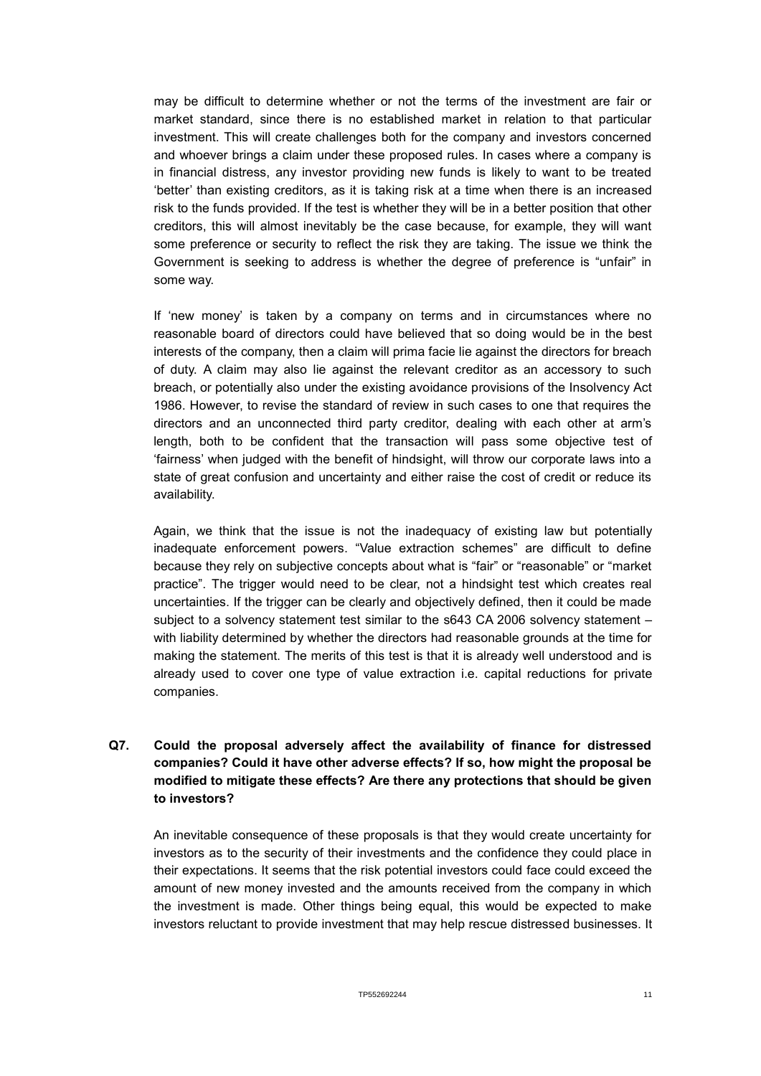may be difficult to determine whether or not the terms of the investment are fair or market standard, since there is no established market in relation to that particular investment. This will create challenges both for the company and investors concerned and whoever brings a claim under these proposed rules. In cases where a company is in financial distress, any investor providing new funds is likely to want to be treated 'better' than existing creditors, as it is taking risk at a time when there is an increased risk to the funds provided. If the test is whether they will be in a better position that other creditors, this will almost inevitably be the case because, for example, they will want some preference or security to reflect the risk they are taking. The issue we think the Government is seeking to address is whether the degree of preference is "unfair" in some way.

If 'new money' is taken by a company on terms and in circumstances where no reasonable board of directors could have believed that so doing would be in the best interests of the company, then a claim will prima facie lie against the directors for breach of duty. A claim may also lie against the relevant creditor as an accessory to such breach, or potentially also under the existing avoidance provisions of the Insolvency Act 1986. However, to revise the standard of review in such cases to one that requires the directors and an unconnected third party creditor, dealing with each other at arm's length, both to be confident that the transaction will pass some objective test of 'fairness' when judged with the benefit of hindsight, will throw our corporate laws into a state of great confusion and uncertainty and either raise the cost of credit or reduce its availability.

Again, we think that the issue is not the inadequacy of existing law but potentially inadequate enforcement powers. "Value extraction schemes" are difficult to define because they rely on subjective concepts about what is "fair" or "reasonable" or "market practice". The trigger would need to be clear, not a hindsight test which creates real uncertainties. If the trigger can be clearly and objectively defined, then it could be made subject to a solvency statement test similar to the s643 CA 2006 solvency statement – with liability determined by whether the directors had reasonable grounds at the time for making the statement. The merits of this test is that it is already well understood and is already used to cover one type of value extraction i.e. capital reductions for private companies.

# **Q7. Could the proposal adversely affect the availability of finance for distressed companies? Could it have other adverse effects? If so, how might the proposal be modified to mitigate these effects? Are there any protections that should be given to investors?**

An inevitable consequence of these proposals is that they would create uncertainty for investors as to the security of their investments and the confidence they could place in their expectations. It seems that the risk potential investors could face could exceed the amount of new money invested and the amounts received from the company in which the investment is made. Other things being equal, this would be expected to make investors reluctant to provide investment that may help rescue distressed businesses. It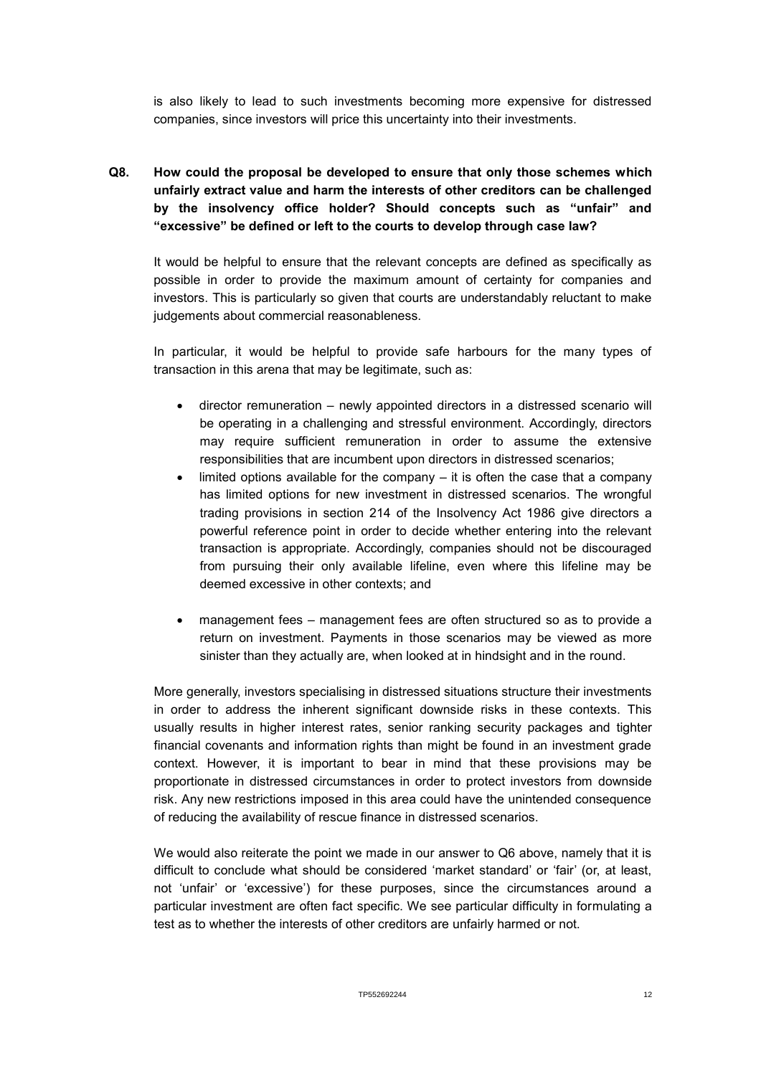is also likely to lead to such investments becoming more expensive for distressed companies, since investors will price this uncertainty into their investments.

**Q8. How could the proposal be developed to ensure that only those schemes which unfairly extract value and harm the interests of other creditors can be challenged by the insolvency office holder? Should concepts such as "unfair" and "excessive" be defined or left to the courts to develop through case law?**

It would be helpful to ensure that the relevant concepts are defined as specifically as possible in order to provide the maximum amount of certainty for companies and investors. This is particularly so given that courts are understandably reluctant to make judgements about commercial reasonableness.

In particular, it would be helpful to provide safe harbours for the many types of transaction in this arena that may be legitimate, such as:

- director remuneration newly appointed directors in a distressed scenario will be operating in a challenging and stressful environment. Accordingly, directors may require sufficient remuneration in order to assume the extensive responsibilities that are incumbent upon directors in distressed scenarios;
- $\bullet$  limited options available for the company it is often the case that a company has limited options for new investment in distressed scenarios. The wrongful trading provisions in section 214 of the Insolvency Act 1986 give directors a powerful reference point in order to decide whether entering into the relevant transaction is appropriate. Accordingly, companies should not be discouraged from pursuing their only available lifeline, even where this lifeline may be deemed excessive in other contexts; and
- management fees management fees are often structured so as to provide a return on investment. Payments in those scenarios may be viewed as more sinister than they actually are, when looked at in hindsight and in the round.

More generally, investors specialising in distressed situations structure their investments in order to address the inherent significant downside risks in these contexts. This usually results in higher interest rates, senior ranking security packages and tighter financial covenants and information rights than might be found in an investment grade context. However, it is important to bear in mind that these provisions may be proportionate in distressed circumstances in order to protect investors from downside risk. Any new restrictions imposed in this area could have the unintended consequence of reducing the availability of rescue finance in distressed scenarios.

We would also reiterate the point we made in our answer to Q6 above, namely that it is difficult to conclude what should be considered 'market standard' or 'fair' (or, at least, not 'unfair' or 'excessive') for these purposes, since the circumstances around a particular investment are often fact specific. We see particular difficulty in formulating a test as to whether the interests of other creditors are unfairly harmed or not.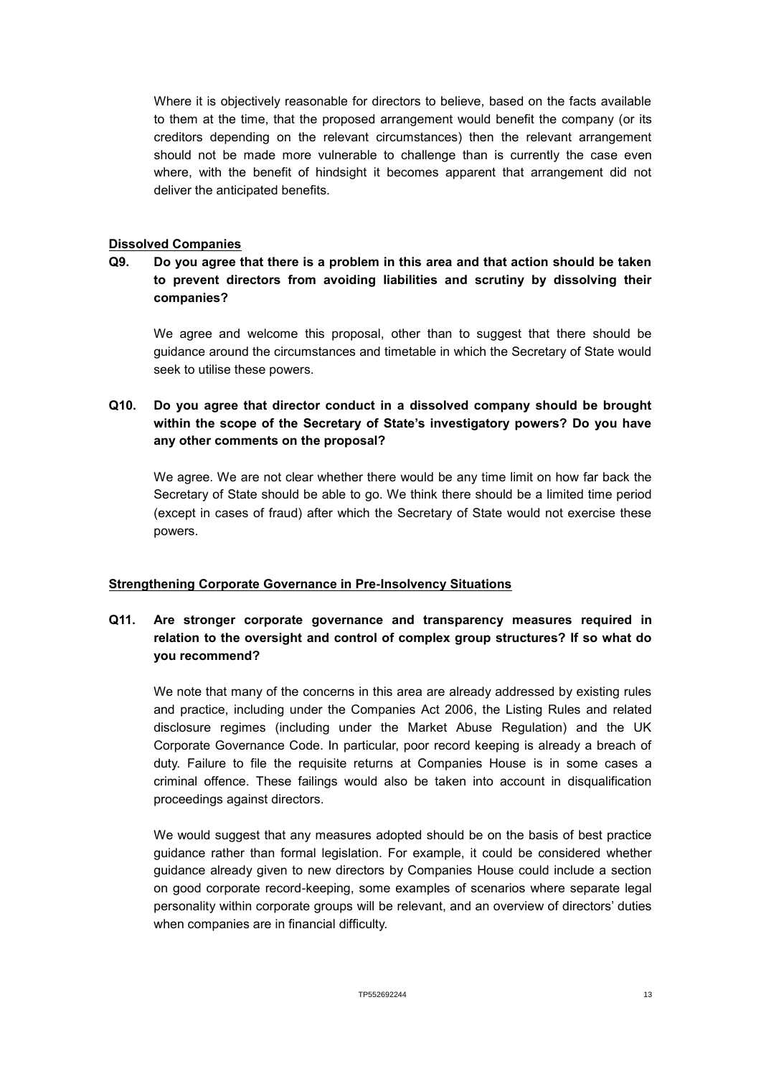Where it is objectively reasonable for directors to believe, based on the facts available to them at the time, that the proposed arrangement would benefit the company (or its creditors depending on the relevant circumstances) then the relevant arrangement should not be made more vulnerable to challenge than is currently the case even where, with the benefit of hindsight it becomes apparent that arrangement did not deliver the anticipated benefits.

#### **Dissolved Companies**

#### **Q9. Do you agree that there is a problem in this area and that action should be taken to prevent directors from avoiding liabilities and scrutiny by dissolving their companies?**

We agree and welcome this proposal, other than to suggest that there should be guidance around the circumstances and timetable in which the Secretary of State would seek to utilise these powers.

## **Q10. Do you agree that director conduct in a dissolved company should be brought within the scope of the Secretary of State's investigatory powers? Do you have any other comments on the proposal?**

We agree. We are not clear whether there would be any time limit on how far back the Secretary of State should be able to go. We think there should be a limited time period (except in cases of fraud) after which the Secretary of State would not exercise these powers.

#### **Strengthening Corporate Governance in Pre-Insolvency Situations**

## **Q11. Are stronger corporate governance and transparency measures required in relation to the oversight and control of complex group structures? If so what do you recommend?**

We note that many of the concerns in this area are already addressed by existing rules and practice, including under the Companies Act 2006, the Listing Rules and related disclosure regimes (including under the Market Abuse Regulation) and the UK Corporate Governance Code. In particular, poor record keeping is already a breach of duty. Failure to file the requisite returns at Companies House is in some cases a criminal offence. These failings would also be taken into account in disqualification proceedings against directors.

We would suggest that any measures adopted should be on the basis of best practice guidance rather than formal legislation. For example, it could be considered whether guidance already given to new directors by Companies House could include a section on good corporate record-keeping, some examples of scenarios where separate legal personality within corporate groups will be relevant, and an overview of directors' duties when companies are in financial difficulty.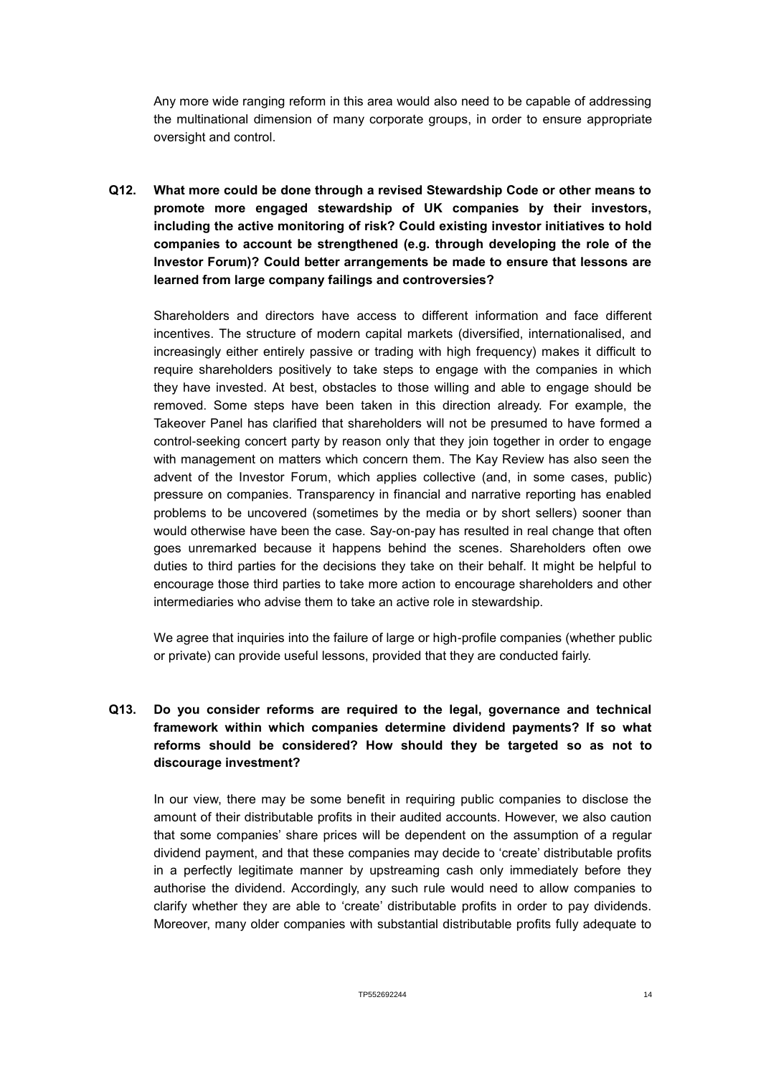Any more wide ranging reform in this area would also need to be capable of addressing the multinational dimension of many corporate groups, in order to ensure appropriate oversight and control.

**Q12. What more could be done through a revised Stewardship Code or other means to promote more engaged stewardship of UK companies by their investors, including the active monitoring of risk? Could existing investor initiatives to hold companies to account be strengthened (e.g. through developing the role of the Investor Forum)? Could better arrangements be made to ensure that lessons are learned from large company failings and controversies?**

Shareholders and directors have access to different information and face different incentives. The structure of modern capital markets (diversified, internationalised, and increasingly either entirely passive or trading with high frequency) makes it difficult to require shareholders positively to take steps to engage with the companies in which they have invested. At best, obstacles to those willing and able to engage should be removed. Some steps have been taken in this direction already. For example, the Takeover Panel has clarified that shareholders will not be presumed to have formed a control-seeking concert party by reason only that they join together in order to engage with management on matters which concern them. The Kay Review has also seen the advent of the Investor Forum, which applies collective (and, in some cases, public) pressure on companies. Transparency in financial and narrative reporting has enabled problems to be uncovered (sometimes by the media or by short sellers) sooner than would otherwise have been the case. Say-on-pay has resulted in real change that often goes unremarked because it happens behind the scenes. Shareholders often owe duties to third parties for the decisions they take on their behalf. It might be helpful to encourage those third parties to take more action to encourage shareholders and other intermediaries who advise them to take an active role in stewardship.

We agree that inquiries into the failure of large or high-profile companies (whether public or private) can provide useful lessons, provided that they are conducted fairly.

## **Q13. Do you consider reforms are required to the legal, governance and technical framework within which companies determine dividend payments? If so what reforms should be considered? How should they be targeted so as not to discourage investment?**

In our view, there may be some benefit in requiring public companies to disclose the amount of their distributable profits in their audited accounts. However, we also caution that some companies' share prices will be dependent on the assumption of a regular dividend payment, and that these companies may decide to 'create' distributable profits in a perfectly legitimate manner by upstreaming cash only immediately before they authorise the dividend. Accordingly, any such rule would need to allow companies to clarify whether they are able to 'create' distributable profits in order to pay dividends. Moreover, many older companies with substantial distributable profits fully adequate to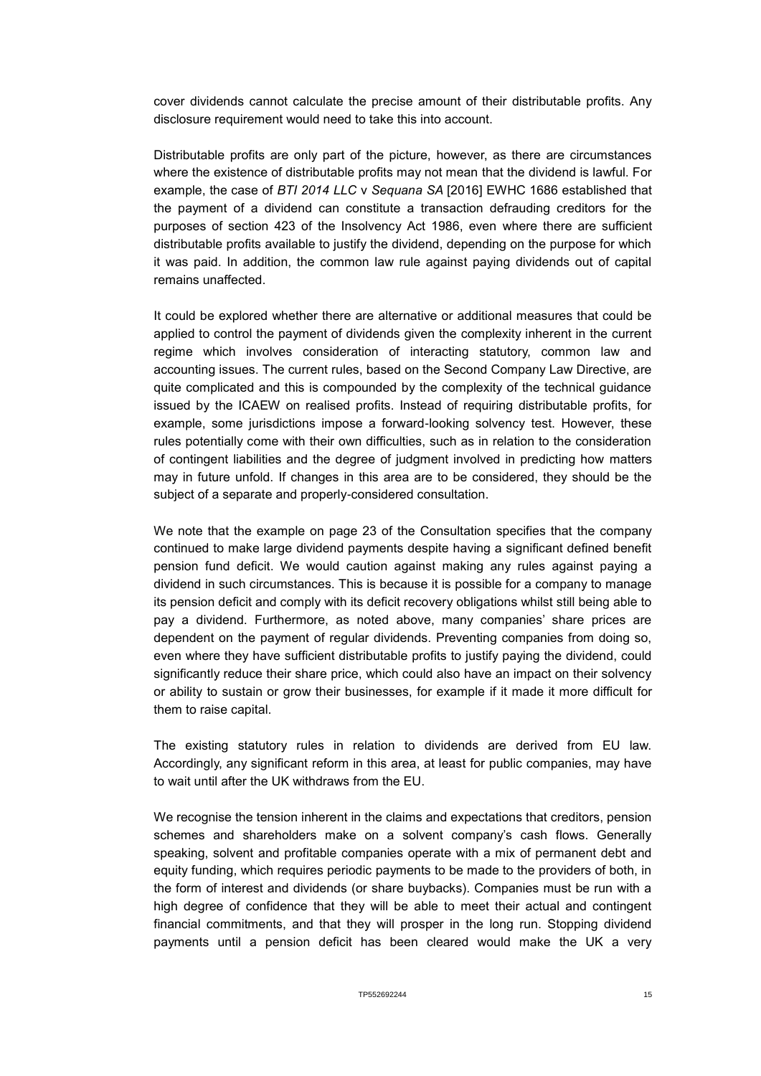cover dividends cannot calculate the precise amount of their distributable profits. Any disclosure requirement would need to take this into account.

Distributable profits are only part of the picture, however, as there are circumstances where the existence of distributable profits may not mean that the dividend is lawful. For example, the case of *BTI 2014 LLC* v *Sequana SA* [2016] EWHC 1686 established that the payment of a dividend can constitute a transaction defrauding creditors for the purposes of section 423 of the Insolvency Act 1986, even where there are sufficient distributable profits available to justify the dividend, depending on the purpose for which it was paid. In addition, the common law rule against paying dividends out of capital remains unaffected.

It could be explored whether there are alternative or additional measures that could be applied to control the payment of dividends given the complexity inherent in the current regime which involves consideration of interacting statutory, common law and accounting issues. The current rules, based on the Second Company Law Directive, are quite complicated and this is compounded by the complexity of the technical guidance issued by the ICAEW on realised profits. Instead of requiring distributable profits, for example, some jurisdictions impose a forward-looking solvency test. However, these rules potentially come with their own difficulties, such as in relation to the consideration of contingent liabilities and the degree of judgment involved in predicting how matters may in future unfold. If changes in this area are to be considered, they should be the subject of a separate and properly-considered consultation.

We note that the example on page 23 of the Consultation specifies that the company continued to make large dividend payments despite having a significant defined benefit pension fund deficit. We would caution against making any rules against paying a dividend in such circumstances. This is because it is possible for a company to manage its pension deficit and comply with its deficit recovery obligations whilst still being able to pay a dividend. Furthermore, as noted above, many companies' share prices are dependent on the payment of regular dividends. Preventing companies from doing so, even where they have sufficient distributable profits to justify paying the dividend, could significantly reduce their share price, which could also have an impact on their solvency or ability to sustain or grow their businesses, for example if it made it more difficult for them to raise capital.

The existing statutory rules in relation to dividends are derived from EU law. Accordingly, any significant reform in this area, at least for public companies, may have to wait until after the UK withdraws from the EU.

We recognise the tension inherent in the claims and expectations that creditors, pension schemes and shareholders make on a solvent company's cash flows. Generally speaking, solvent and profitable companies operate with a mix of permanent debt and equity funding, which requires periodic payments to be made to the providers of both, in the form of interest and dividends (or share buybacks). Companies must be run with a high degree of confidence that they will be able to meet their actual and contingent financial commitments, and that they will prosper in the long run. Stopping dividend payments until a pension deficit has been cleared would make the UK a very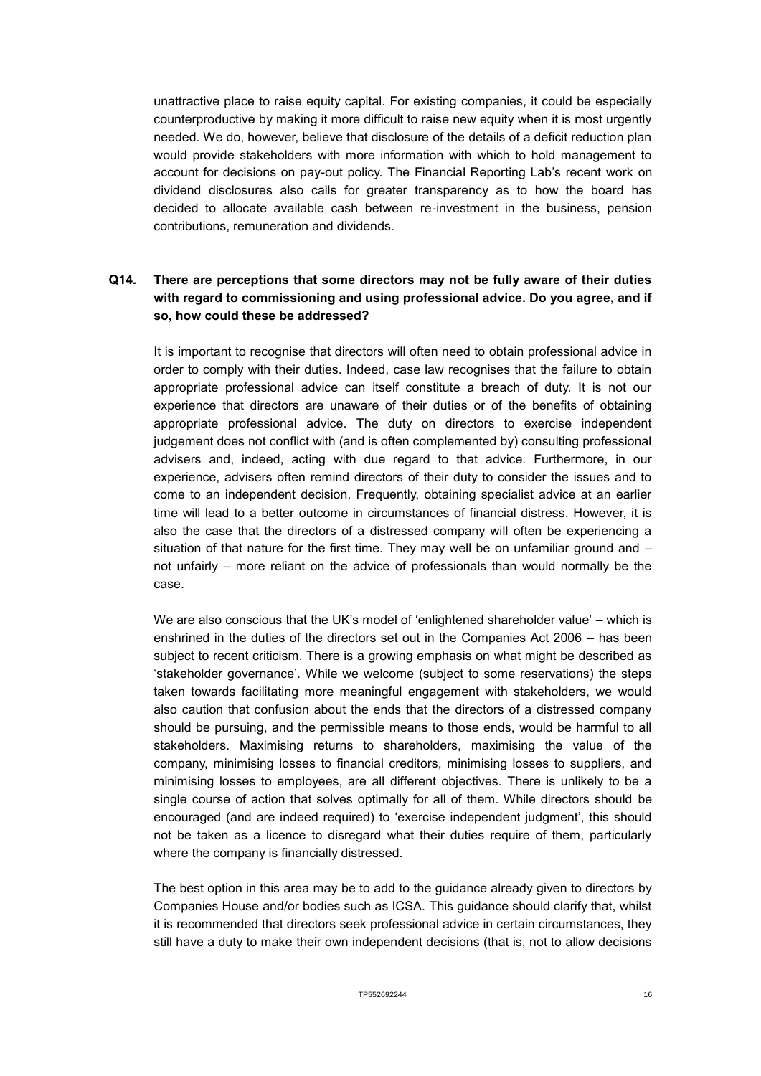unattractive place to raise equity capital. For existing companies, it could be especially counterproductive by making it more difficult to raise new equity when it is most urgently needed. We do, however, believe that disclosure of the details of a deficit reduction plan would provide stakeholders with more information with which to hold management to account for decisions on pay-out policy. The Financial Reporting Lab's recent work on dividend disclosures also calls for greater transparency as to how the board has decided to allocate available cash between re-investment in the business, pension contributions, remuneration and dividends.

#### **Q14. There are perceptions that some directors may not be fully aware of their duties with regard to commissioning and using professional advice. Do you agree, and if so, how could these be addressed?**

It is important to recognise that directors will often need to obtain professional advice in order to comply with their duties. Indeed, case law recognises that the failure to obtain appropriate professional advice can itself constitute a breach of duty. It is not our experience that directors are unaware of their duties or of the benefits of obtaining appropriate professional advice. The duty on directors to exercise independent judgement does not conflict with (and is often complemented by) consulting professional advisers and, indeed, acting with due regard to that advice. Furthermore, in our experience, advisers often remind directors of their duty to consider the issues and to come to an independent decision. Frequently, obtaining specialist advice at an earlier time will lead to a better outcome in circumstances of financial distress. However, it is also the case that the directors of a distressed company will often be experiencing a situation of that nature for the first time. They may well be on unfamiliar ground and – not unfairly – more reliant on the advice of professionals than would normally be the case.

We are also conscious that the UK's model of 'enlightened shareholder value' – which is enshrined in the duties of the directors set out in the Companies Act 2006 – has been subject to recent criticism. There is a growing emphasis on what might be described as 'stakeholder governance'. While we welcome (subject to some reservations) the steps taken towards facilitating more meaningful engagement with stakeholders, we would also caution that confusion about the ends that the directors of a distressed company should be pursuing, and the permissible means to those ends, would be harmful to all stakeholders. Maximising returns to shareholders, maximising the value of the company, minimising losses to financial creditors, minimising losses to suppliers, and minimising losses to employees, are all different objectives. There is unlikely to be a single course of action that solves optimally for all of them. While directors should be encouraged (and are indeed required) to 'exercise independent judgment', this should not be taken as a licence to disregard what their duties require of them, particularly where the company is financially distressed.

The best option in this area may be to add to the guidance already given to directors by Companies House and/or bodies such as ICSA. This guidance should clarify that, whilst it is recommended that directors seek professional advice in certain circumstances, they still have a duty to make their own independent decisions (that is, not to allow decisions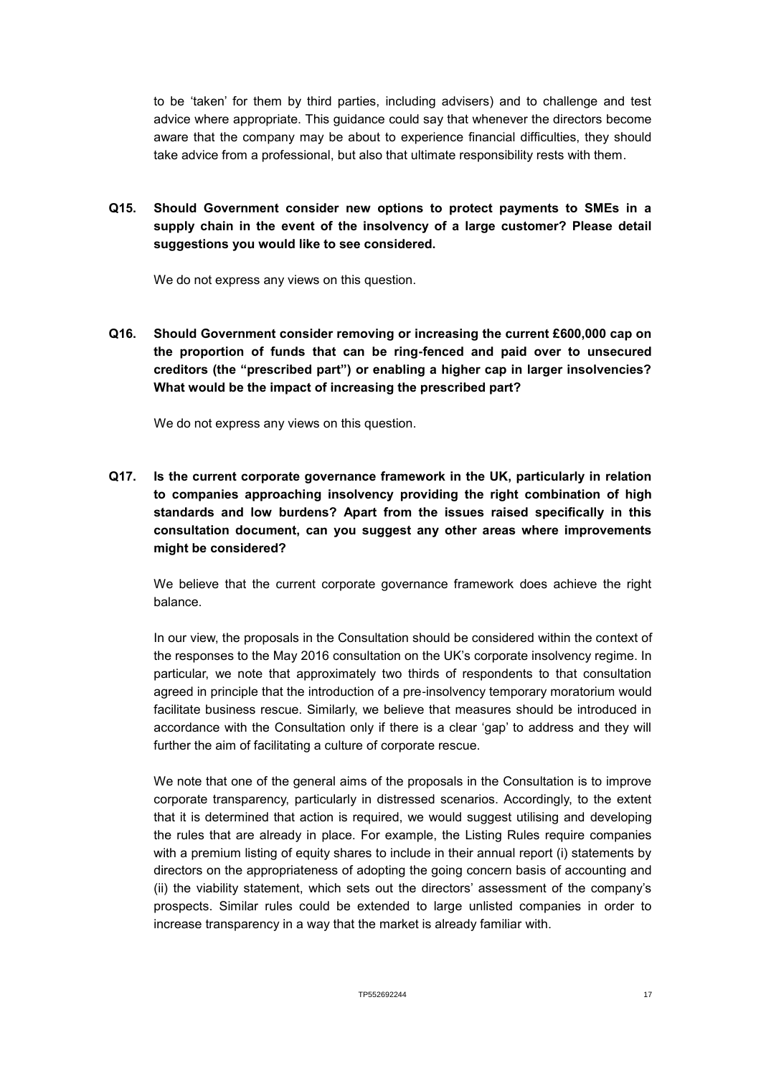to be 'taken' for them by third parties, including advisers) and to challenge and test advice where appropriate. This guidance could say that whenever the directors become aware that the company may be about to experience financial difficulties, they should take advice from a professional, but also that ultimate responsibility rests with them.

**Q15. Should Government consider new options to protect payments to SMEs in a supply chain in the event of the insolvency of a large customer? Please detail suggestions you would like to see considered.**

We do not express any views on this question.

**Q16. Should Government consider removing or increasing the current £600,000 cap on the proportion of funds that can be ring-fenced and paid over to unsecured creditors (the "prescribed part") or enabling a higher cap in larger insolvencies? What would be the impact of increasing the prescribed part?**

We do not express any views on this question.

**Q17. Is the current corporate governance framework in the UK, particularly in relation to companies approaching insolvency providing the right combination of high standards and low burdens? Apart from the issues raised specifically in this consultation document, can you suggest any other areas where improvements might be considered?**

We believe that the current corporate governance framework does achieve the right balance.

In our view, the proposals in the Consultation should be considered within the context of the responses to the May 2016 consultation on the UK's corporate insolvency regime. In particular, we note that approximately two thirds of respondents to that consultation agreed in principle that the introduction of a pre-insolvency temporary moratorium would facilitate business rescue. Similarly, we believe that measures should be introduced in accordance with the Consultation only if there is a clear 'gap' to address and they will further the aim of facilitating a culture of corporate rescue.

We note that one of the general aims of the proposals in the Consultation is to improve corporate transparency, particularly in distressed scenarios. Accordingly, to the extent that it is determined that action is required, we would suggest utilising and developing the rules that are already in place. For example, the Listing Rules require companies with a premium listing of equity shares to include in their annual report (i) statements by directors on the appropriateness of adopting the going concern basis of accounting and (ii) the viability statement, which sets out the directors' assessment of the company's prospects. Similar rules could be extended to large unlisted companies in order to increase transparency in a way that the market is already familiar with.